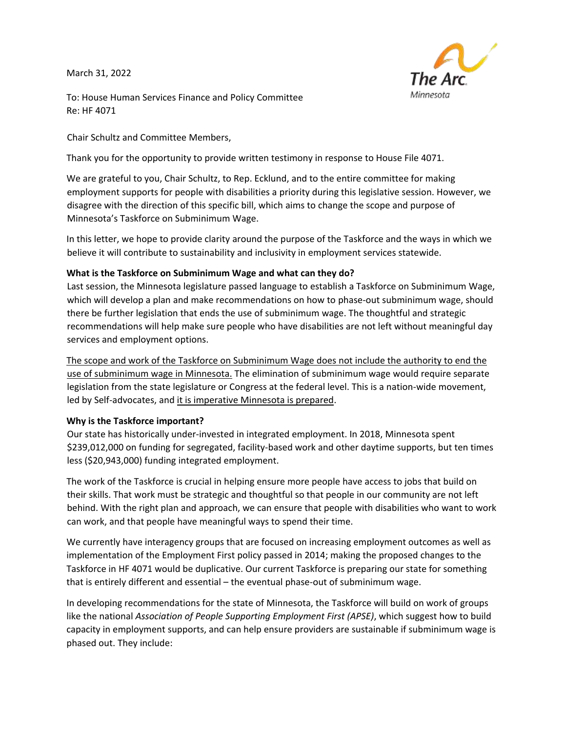March 31, 2022



To: House Human Services Finance and Policy Committee Re: HF 4071

Chair Schultz and Committee Members,

Thank you for the opportunity to provide written testimony in response to House File 4071.

We are grateful to you, Chair Schultz, to Rep. Ecklund, and to the entire committee for making employment supports for people with disabilities a priority during this legislative session. However, we disagree with the direction of this specific bill, which aims to change the scope and purpose of Minnesota's Taskforce on Subminimum Wage.

In this letter, we hope to provide clarity around the purpose of the Taskforce and the ways in which we believe it will contribute to sustainability and inclusivity in employment services statewide.

## **What is the Taskforce on Subminimum Wage and what can they do?**

Last session, the Minnesota legislature passed language to establish a Taskforce on Subminimum Wage, which will develop a plan and make recommendations on how to phase-out subminimum wage, should there be further legislation that ends the use of subminimum wage. The thoughtful and strategic recommendations will help make sure people who have disabilities are not left without meaningful day services and employment options.

The scope and work of the Taskforce on Subminimum Wage does not include the authority to end the use of subminimum wage in Minnesota. The elimination of subminimum wage would require separate legislation from the state legislature or Congress at the federal level. This is a nation-wide movement, led by Self-advocates, and it is imperative Minnesota is prepared.

## **Why is the Taskforce important?**

Our state has historically under-invested in integrated employment. In 2018, Minnesota spent \$239,012,000 on funding for segregated, facility-based work and other daytime supports, but ten times less (\$20,943,000) funding integrated employment.

The work of the Taskforce is crucial in helping ensure more people have access to jobs that build on their skills. That work must be strategic and thoughtful so that people in our community are not left behind. With the right plan and approach, we can ensure that people with disabilities who want to work can work, and that people have meaningful ways to spend their time.

We currently have interagency groups that are focused on increasing employment outcomes as well as implementation of the Employment First policy passed in 2014; making the proposed changes to the Taskforce in HF 4071 would be duplicative. Our current Taskforce is preparing our state for something that is entirely different and essential – the eventual phase-out of subminimum wage.

In developing recommendations for the state of Minnesota, the Taskforce will build on work of groups like the national *Association of People Supporting Employment First (APSE)*, which suggest how to build capacity in employment supports, and can help ensure providers are sustainable if subminimum wage is phased out. They include: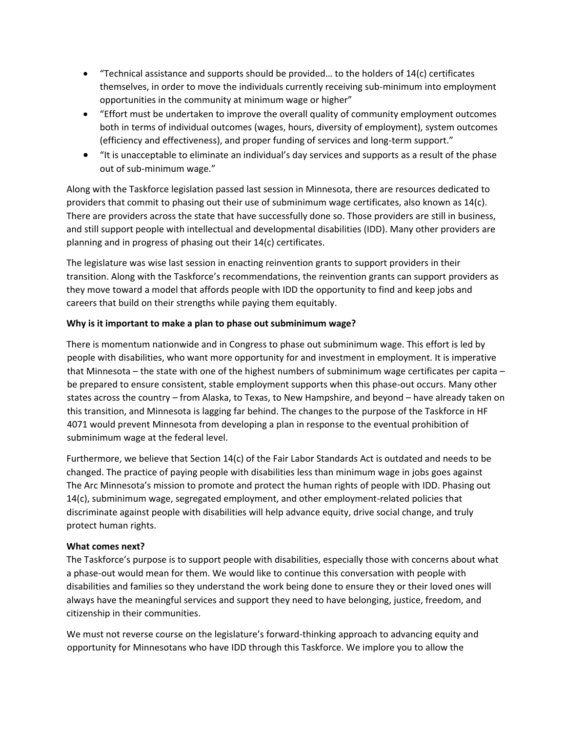- "Technical assistance and supports should be provided… to the holders of 14(c) certificates themselves, in order to move the individuals currently receiving sub-minimum into employment opportunities in the community at minimum wage or higher"
- "Effort must be undertaken to improve the overall quality of community employment outcomes both in terms of individual outcomes (wages, hours, diversity of employment), system outcomes (efficiency and effectiveness), and proper funding of services and long-term support."
- "It is unacceptable to eliminate an individual's day services and supports as a result of the phase out of sub-minimum wage."

Along with the Taskforce legislation passed last session in Minnesota, there are resources dedicated to providers that commit to phasing out their use of subminimum wage certificates, also known as 14(c). There are providers across the state that have successfully done so. Those providers are still in business, and still support people with intellectual and developmental disabilities (IDD). Many other providers are planning and in progress of phasing out their 14(c) certificates.

The legislature was wise last session in enacting reinvention grants to support providers in their transition. Along with the Taskforce's recommendations, the reinvention grants can support providers as they move toward a model that affords people with IDD the opportunity to find and keep jobs and careers that build on their strengths while paying them equitably.

## **Why is it important to make a plan to phase out subminimum wage?**

There is momentum nationwide and in Congress to phase out subminimum wage. This effort is led by people with disabilities, who want more opportunity for and investment in employment. It is imperative that Minnesota – the state with one of the highest numbers of subminimum wage certificates per capita – be prepared to ensure consistent, stable employment supports when this phase-out occurs. Many other states across the country – from Alaska, to Texas, to New Hampshire, and beyond – have already taken on this transition, and Minnesota is lagging far behind. The changes to the purpose of the Taskforce in HF 4071 would prevent Minnesota from developing a plan in response to the eventual prohibition of subminimum wage at the federal level.

Furthermore, we believe that Section 14(c) of the Fair Labor Standards Act is outdated and needs to be changed. The practice of paying people with disabilities less than minimum wage in jobs goes against The Arc Minnesota's mission to promote and protect the human rights of people with IDD. Phasing out 14(c), subminimum wage, segregated employment, and other employment-related policies that discriminate against people with disabilities will help advance equity, drive social change, and truly protect human rights.

## **What comes next?**

The Taskforce's purpose is to support people with disabilities, especially those with concerns about what a phase-out would mean for them. We would like to continue this conversation with people with disabilities and families so they understand the work being done to ensure they or their loved ones will always have the meaningful services and support they need to have belonging, justice, freedom, and citizenship in their communities.

We must not reverse course on the legislature's forward-thinking approach to advancing equity and opportunity for Minnesotans who have IDD through this Taskforce. We implore you to allow the